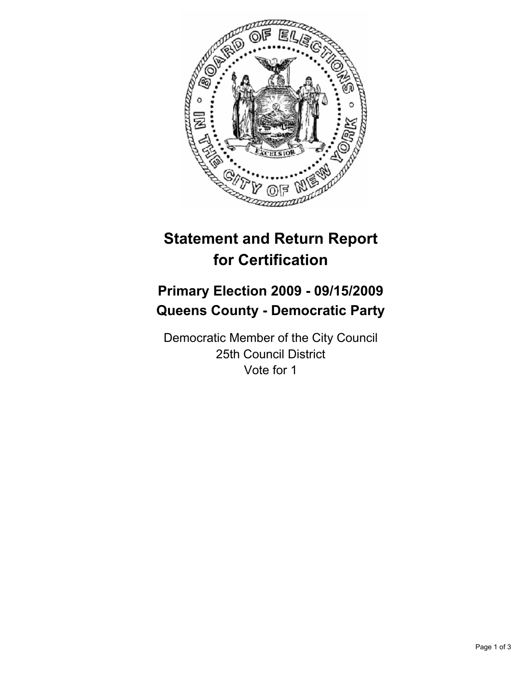

# **Statement and Return Report for Certification**

## **Primary Election 2009 - 09/15/2009 Queens County - Democratic Party**

Democratic Member of the City Council 25th Council District Vote for 1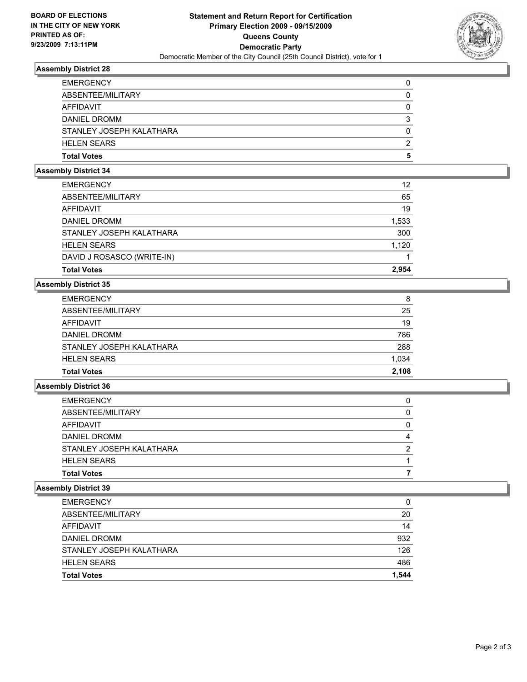

## **Assembly District 28**

| <b>Total Votes</b>       | 5 |
|--------------------------|---|
| <b>HELEN SEARS</b>       | 2 |
| STANLEY JOSEPH KALATHARA | 0 |
| <b>DANIEL DROMM</b>      | 3 |
| AFFIDAVIT                | 0 |
| ABSENTEE/MILITARY        | 0 |
| <b>EMERGENCY</b>         | 0 |

#### **Assembly District 34**

| <b>Total Votes</b>         | 2.954 |
|----------------------------|-------|
| DAVID J ROSASCO (WRITE-IN) |       |
| <b>HELEN SEARS</b>         | 1.120 |
| STANLEY JOSEPH KALATHARA   | 300   |
| DANIEL DROMM               | 1,533 |
| AFFIDAVIT                  | 19    |
| ABSENTEE/MILITARY          | 65    |
| <b>EMERGENCY</b>           | 12    |

## **Assembly District 35**

| <b>EMERGENCY</b>         | 8     |
|--------------------------|-------|
| ABSENTEE/MILITARY        | 25    |
| AFFIDAVIT                | 19    |
| <b>DANIEL DROMM</b>      | 786   |
| STANLEY JOSEPH KALATHARA | 288   |
| <b>HELEN SEARS</b>       | 1,034 |
| <b>Total Votes</b>       | 2.108 |

## **Assembly District 36**

| <b>Total Votes</b>       |   |
|--------------------------|---|
| <b>HELEN SEARS</b>       |   |
| STANLEY JOSEPH KALATHARA | 2 |
| <b>DANIEL DROMM</b>      | 4 |
| AFFIDAVIT                | 0 |
| ABSENTEE/MILITARY        | 0 |
| <b>EMERGENCY</b>         | 0 |

#### **Assembly District 39**

| <b>EMERGENCY</b>         | 0     |
|--------------------------|-------|
| ABSENTEE/MILITARY        | 20    |
| AFFIDAVIT                | 14    |
| <b>DANIEL DROMM</b>      | 932   |
| STANLEY JOSEPH KALATHARA | 126   |
| <b>HELEN SEARS</b>       | 486   |
| <b>Total Votes</b>       | 1.544 |